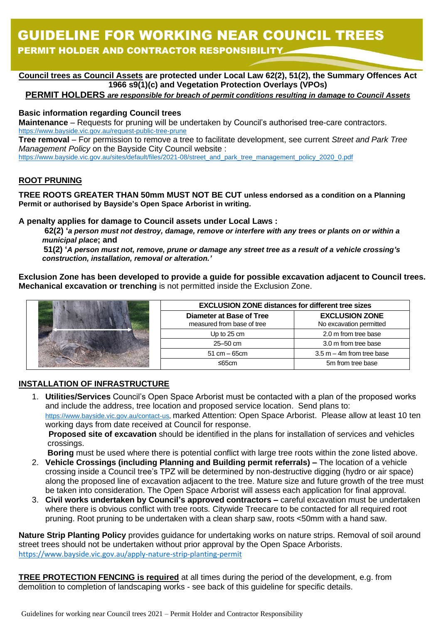# GUIDELINE FOR WORKING NEAR COUNCIL TREES PERMIT HOLDER AND CONTRACTOR RESPONSIBILITY

- **Council trees as Council Assets are protected under Local Law 62(2), 51(2), the Summary Offences Act 1966 s9(1)(c) and Vegetation Protection Overlays (VPOs)**

### **PERMIT HOLDERS** *are responsible for breach of permit conditions resulting in damage to Council Assets*

#### **Basic information regarding Council trees**

**Maintenance** – Requests for pruning will be undertaken by Council's authorised tree-care contractors. <https://www.bayside.vic.gov.au/request-public-tree-prune>

**Tree removal** – For permission to remove a tree to facilitate development, see current *Street and Park Tree Management Policy* on the Bayside City Council website :

[https://www.bayside.vic.gov.au/sites/default/files/2021-08/street\\_and\\_park\\_tree\\_management\\_policy\\_2020\\_0.pdf](https://www.bayside.vic.gov.au/sites/default/files/2021-08/street_and_park_tree_management_policy_2020_0.pdf)

### **ROOT PRUNING**

**TREE ROOTS GREATER THAN 50mm MUST NOT BE CUT unless endorsed as a condition on a Planning Permit or authorised by Bayside's Open Space Arborist in writing.**

#### **A penalty applies for damage to Council assets under Local Laws :**

**62(2) '***a person must not destroy, damage, remove or interfere with any trees or plants on or within a municipal place***; and**

 **51(2) '***A person must not, remove, prune or damage any street tree as a result of a vehicle crossing's construction, installation, removal or alteration.'*

**Exclusion Zone has been developed to provide a guide for possible excavation adjacent to Council trees. Mechanical excavation or trenching** is not permitted inside the Exclusion Zone.



| <b>EXCLUSION ZONE distances for different tree sizes</b> |                                                  |
|----------------------------------------------------------|--------------------------------------------------|
| Diameter at Base of Tree<br>measured from base of tree   | <b>EXCLUSION ZONE</b><br>No excavation permitted |
| Up to 25 cm                                              | 2.0 m from tree base                             |
| $25 - 50$ cm                                             | 3.0 m from tree base                             |
| $51 \text{ cm} - 65 \text{ cm}$                          | $3.5$ m $-$ 4m from tree base                    |
| $<$ 65cm                                                 | 5m from tree base                                |

### **INSTALLATION OF INFRASTRUCTURE**

1. **Utilities/Services** Council's Open Space Arborist must be contacted with a plan of the proposed works and include the address, tree location and proposed service location. Send plans to: [https://www.bayside.vic.gov.au/contact-us,](https://www.bayside.vic.gov.au/contact-us) marked Attention: Open Space Arborist. Please allow at least 10 ten working days from date received at Council for response. **Proposed site of excavation** should be identified in the plans for installation of services and vehicles crossings.

**Boring** must be used where there is potential conflict with large tree roots within the zone listed above.

- 2. **Vehicle Crossings (including Planning and Building permit referrals) –** The location of a vehicle crossing inside a Council tree's TPZ will be determined by non-destructive digging (hydro or air space) along the proposed line of excavation adjacent to the tree. Mature size and future growth of the tree must be taken into consideration. The Open Space Arborist will assess each application for final approval.
- 3. **Civil works undertaken by Council's approved contractors –** careful excavation must be undertaken where there is obvious conflict with tree roots. Citywide Treecare to be contacted for all required root pruning. Root pruning to be undertaken with a clean sharp saw, roots <50mm with a hand saw.

**Nature Strip Planting Policy** provides guidance for undertaking works on nature strips. Removal of soil around street trees should not be undertaken without prior approval by the Open Space Arborists. <https://www.bayside.vic.gov.au/apply-nature-strip-planting-permit>

**TREE PROTECTION FENCING is required** at all times during the period of the development, e.g. from demolition to completion of landscaping works - see back of this guideline for specific details.